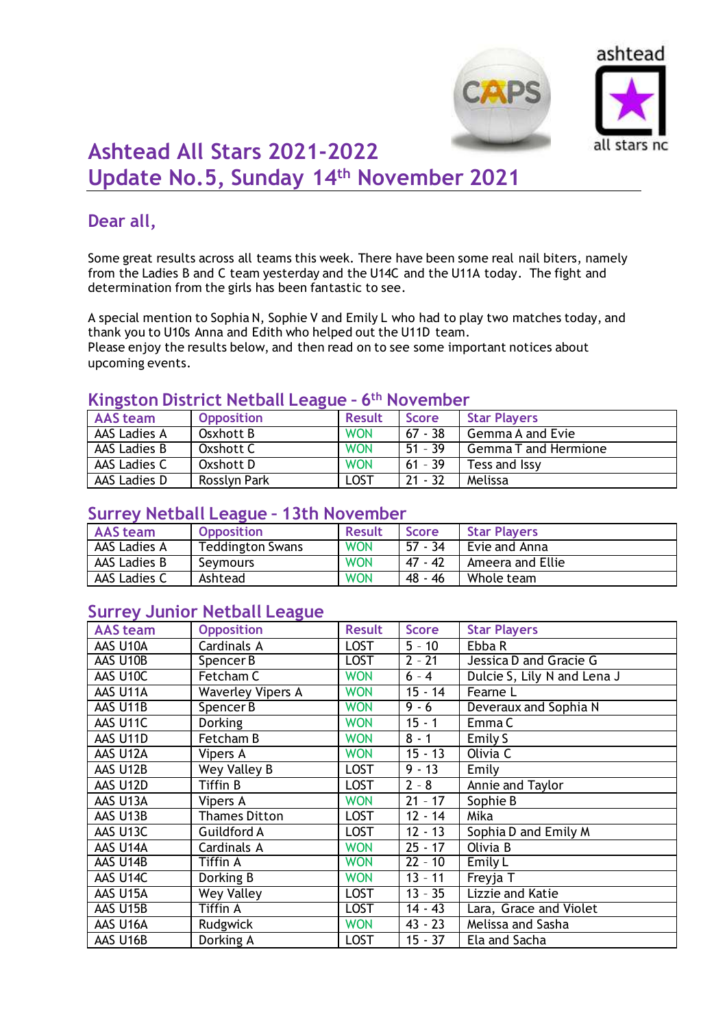



# **Ashtead All Stars 2021-2022 Update No.5, Sunday 14th November 2021**

# **Dear all,**

Some great results across all teams this week. There have been some real nail biters, namely from the Ladies B and C team yesterday and the U14C and the U11A today. The fight and determination from the girls has been fantastic to see.

A special mention to Sophia N, Sophie V and Emily L who had to play two matches today, and thank you to U10s Anna and Edith who helped out the U11D team. Please enjoy the results below, and then read on to see some important notices about upcoming events.

### **Kingston District Netball League – 6 th November**

| <b>AAS team</b> | <b>Opposition</b> | <b>Result</b> | <b>Score</b> | <b>Star Players</b>         |
|-----------------|-------------------|---------------|--------------|-----------------------------|
| AAS Ladies A    | Osxhott B         | <b>WON</b>    | $67 - 38$    | Gemma A and Evie            |
| AAS Ladies B    | Oxshott C         | <b>WON</b>    | $51 - 39$    | <b>Gemma T and Hermione</b> |
| AAS Ladies C    | Oxshott D         | <b>WON</b>    | $61 - 39$    | Tess and Issy               |
| AAS Ladies D    | Rosslyn Park      | LOST          | $21 - 32$    | Melissa                     |

#### **Surrey Netball League – 13th November**

| AAS team     | <b>Opposition</b>       | <b>Result</b> | <b>Score</b> | <b>Star Players</b> |
|--------------|-------------------------|---------------|--------------|---------------------|
| AAS Ladies A | <b>Teddington Swans</b> | <b>WON</b>    | 57 - 34      | Evie and Anna       |
| AAS Ladies B | Seymours                | <b>WON</b>    | 47 - 42      | Ameera and Ellie    |
| AAS Ladies C | Ashtead                 | <b>WON</b>    | 48 - 46      | Whole team          |

# **Surrey Junior Netball League**

| <b>AAS</b> team | <b>Opposition</b>        | <b>Result</b> | <b>Score</b> | <b>Star Players</b>         |
|-----------------|--------------------------|---------------|--------------|-----------------------------|
| AAS U10A        | Cardinals A              | <b>LOST</b>   | $5 - 10$     | Ebba R                      |
| AAS U10B        | Spencer B                | <b>LOST</b>   | $2 - 21$     | Jessica D and Gracie G      |
| AAS U10C        | Fetcham C                | <b>WON</b>    | $6 - 4$      | Dulcie S, Lily N and Lena J |
| AAS U11A        | <b>Waverley Vipers A</b> | <b>WON</b>    | $15 - 14$    | Fearne L                    |
| AAS U11B        | Spencer B                | <b>WON</b>    | $9 - 6$      | Deveraux and Sophia N       |
| AAS U11C        | Dorking                  | <b>WON</b>    | $15 - 1$     | Emma C                      |
| AAS U11D        | Fetcham B                | <b>WON</b>    | $8 - 1$      | Emily S                     |
| AAS U12A        | Vipers A                 | <b>WON</b>    | $15 - 13$    | Olivia C                    |
| AAS U12B        | Wey Valley B             | <b>LOST</b>   | $9 - 13$     | Emily                       |
| AAS U12D        | Tiffin B                 | <b>LOST</b>   | $2 - 8$      | Annie and Taylor            |
| AAS U13A        | Vipers A                 | <b>WON</b>    | $21 - 17$    | Sophie B                    |
| AAS U13B        | <b>Thames Ditton</b>     | <b>LOST</b>   | $12 - 14$    | Mika                        |
| AAS U13C        | Guildford A              | <b>LOST</b>   | $12 - 13$    | Sophia D and Emily M        |
| AAS U14A        | Cardinals A              | <b>WON</b>    | $25 - 17$    | Olivia B                    |
| AAS U14B        | Tiffin A                 | <b>WON</b>    | $22 - 10$    | Emily L                     |
| AAS U14C        | Dorking B                | <b>WON</b>    | $13 - 11$    | Freyja T                    |
| AAS U15A        | Wey Valley               | <b>LOST</b>   | $13 - 35$    | Lizzie and Katie            |
| AAS U15B        | Tiffin A                 | <b>LOST</b>   | $14 - 43$    | Lara, Grace and Violet      |
| AAS U16A        | Rudgwick                 | <b>WON</b>    | $43 - 23$    | Melissa and Sasha           |
| AAS U16B        | Dorking A                | <b>LOST</b>   | $15 - 37$    | Ela and Sacha               |